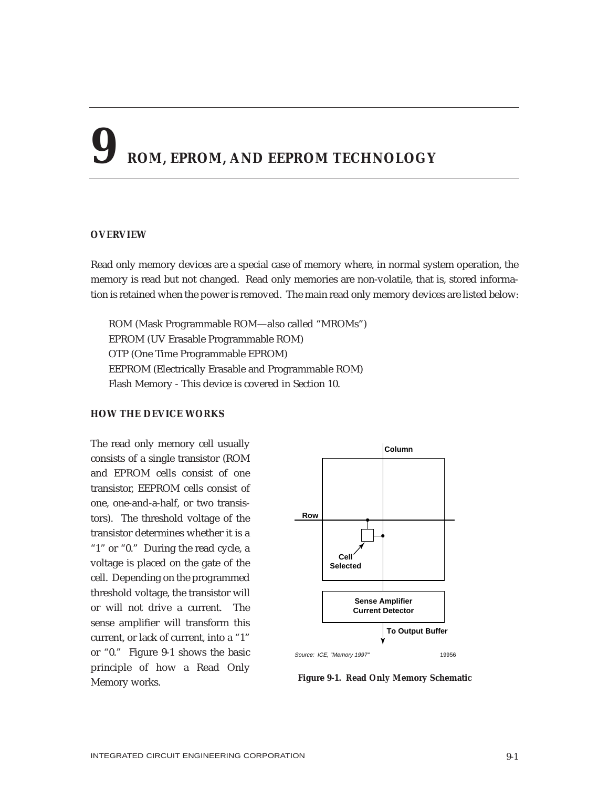# **9 ROM, EPROM, AND EEPROM TECHNOLOGY**

### **OVERVIEW**

Read only memory devices are a special case of memory where, in normal system operation, the memory is read but not changed. Read only memories are non-volatile, that is, stored information is retained when the power is removed. The main read only memory devices are listed below:

ROM (Mask Programmable ROM—also called "MROMs") EPROM (UV Erasable Programmable ROM) OTP (One Time Programmable EPROM) EEPROM (Electrically Erasable and Programmable ROM) Flash Memory - This device is covered in Section 10.

# **HOW THE DEVICE WORKS**

The read only memory cell usually consists of a single transistor (ROM and EPROM cells consist of one transistor, EEPROM cells consist of one, one-and-a-half, or two transistors). The threshold voltage of the transistor determines whether it is a "1" or "0." During the read cycle, a voltage is placed on the gate of the cell. Depending on the programmed threshold voltage, the transistor will or will not drive a current. The sense amplifier will transform this current, or lack of current, into a "1" or "0." Figure 9-1 shows the basic principle of how a Read Only Memory works.



**Figure 9-1. Read Only Memory Schematic**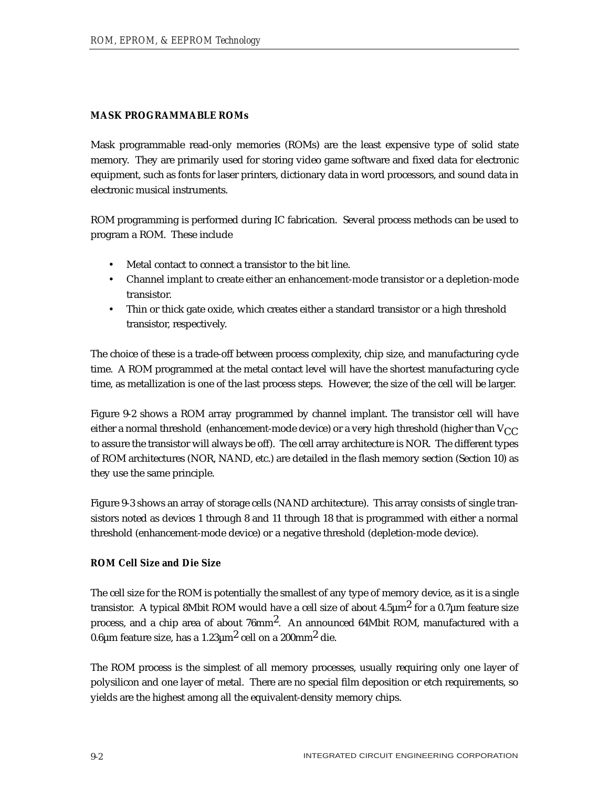# **MASK PROGRAMMABLE ROMs**

Mask programmable read-only memories (ROMs) are the least expensive type of solid state memory. They are primarily used for storing video game software and fixed data for electronic equipment, such as fonts for laser printers, dictionary data in word processors, and sound data in electronic musical instruments.

ROM programming is performed during IC fabrication. Several process methods can be used to program a ROM. These include

- Metal contact to connect a transistor to the bit line.
- Channel implant to create either an enhancement-mode transistor or a depletion-mode transistor.
- Thin or thick gate oxide, which creates either a standard transistor or a high threshold transistor, respectively.

The choice of these is a trade-off between process complexity, chip size, and manufacturing cycle time. A ROM programmed at the metal contact level will have the shortest manufacturing cycle time, as metallization is one of the last process steps. However, the size of the cell will be larger.

Figure 9-2 shows a ROM array programmed by channel implant. The transistor cell will have either a normal threshold (enhancement-mode device) or a very high threshold (higher than  $V_{CC}$ to assure the transistor will always be off). The cell array architecture is NOR. The different types of ROM architectures (NOR, NAND, etc.) are detailed in the flash memory section (Section 10) as they use the same principle.

Figure 9-3 shows an array of storage cells (NAND architecture). This array consists of single transistors noted as devices 1 through 8 and 11 through 18 that is programmed with either a normal threshold (enhancement-mode device) or a negative threshold (depletion-mode device).

# **ROM Cell Size and Die Size**

The cell size for the ROM is potentially the smallest of any type of memory device, as it is a single transistor. A typical 8Mbit ROM would have a cell size of about  $4.5 \mu m^2$  for a 0.7 $\mu$ m feature size process, and a chip area of about 76mm2. An announced 64Mbit ROM, manufactured with a 0.6 $\mu$ m feature size, has a 1.23 $\mu$ m<sup>2</sup> cell on a 200mm<sup>2</sup> die.

The ROM process is the simplest of all memory processes, usually requiring only one layer of polysilicon and one layer of metal. There are no special film deposition or etch requirements, so yields are the highest among all the equivalent-density memory chips.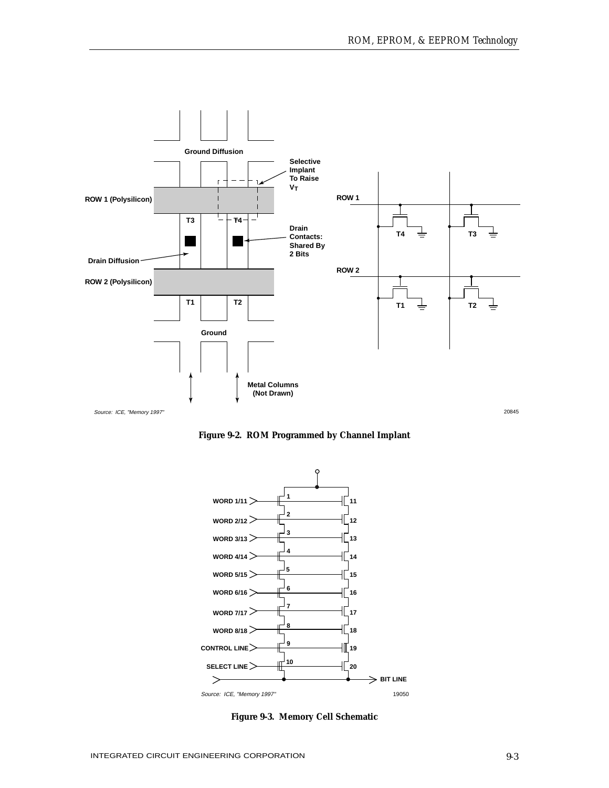

**Figure 9-2. ROM Programmed by Channel Implant**



**Figure 9-3. Memory Cell Schematic**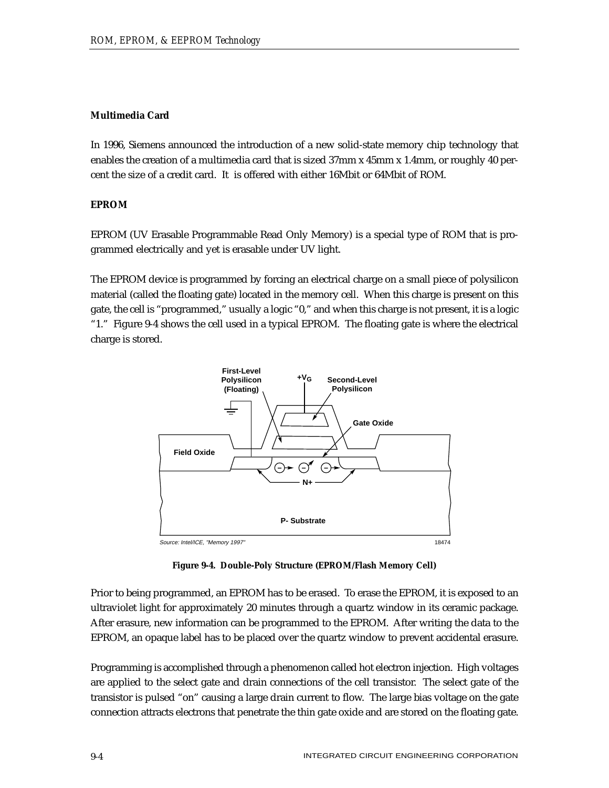# **Multimedia Card**

In 1996, Siemens announced the introduction of a new solid-state memory chip technology that enables the creation of a multimedia card that is sized 37mm x 45mm x 1.4mm, or roughly 40 percent the size of a credit card. It is offered with either 16Mbit or 64Mbit of ROM.

# **EPROM**

EPROM (UV Erasable Programmable Read Only Memory) is a special type of ROM that is programmed electrically and yet is erasable under UV light.

The EPROM device is programmed by forcing an electrical charge on a small piece of polysilicon material (called the floating gate) located in the memory cell. When this charge is present on this gate, the cell is "programmed," usually a logic "0," and when this charge is not present, it is a logic "1." Figure 9-4 shows the cell used in a typical EPROM. The floating gate is where the electrical charge is stored.



**Figure 9-4. Double-Poly Structure (EPROM/Flash Memory Cell)**

Prior to being programmed, an EPROM has to be erased. To erase the EPROM, it is exposed to an ultraviolet light for approximately 20 minutes through a quartz window in its ceramic package. After erasure, new information can be programmed to the EPROM. After writing the data to the EPROM, an opaque label has to be placed over the quartz window to prevent accidental erasure.

Programming is accomplished through a phenomenon called hot electron injection. High voltages are applied to the select gate and drain connections of the cell transistor. The select gate of the transistor is pulsed "on" causing a large drain current to flow. The large bias voltage on the gate connection attracts electrons that penetrate the thin gate oxide and are stored on the floating gate.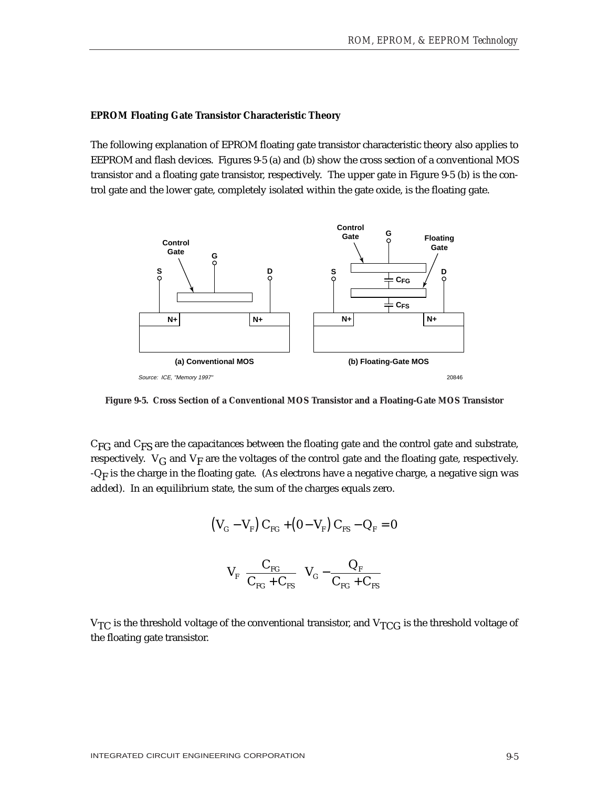#### **EPROM Floating Gate Transistor Characteristic Theory**

The following explanation of EPROM floating gate transistor characteristic theory also applies to EEPROM and flash devices. Figures 9-5 (a) and (b) show the cross section of a conventional MOS transistor and a floating gate transistor, respectively. The upper gate in Figure 9-5 (b) is the control gate and the lower gate, completely isolated within the gate oxide, is the floating gate.



**Figure 9-5. Cross Section of a Conventional MOS Transistor and a Floating-Gate MOS Transistor**

 $C_{\text{FG}}$  and  $C_{\text{FS}}$  are the capacitances between the floating gate and the control gate and substrate, respectively.  $V_G$  and  $V_F$  are the voltages of the control gate and the floating gate, respectively.  $-Q_F$  is the charge in the floating gate. (As electrons have a negative charge, a negative sign was added). In an equilibrium state, the sum of the charges equals zero.

$$
(V_{\rm G} - V_{\rm F}) C_{\rm FG} + (0 - V_{\rm F}) C_{\rm FS} - Q_{\rm F} = 0
$$

$$
V_{\rm F} \left( \frac{C_{\rm FG}}{C_{\rm FG} + C_{\rm FS}} \right) V_{\rm G} - \frac{Q_{\rm F}}{C_{\rm FG} + C_{\rm FS}}
$$

 $V_{TC}$  is the threshold voltage of the conventional transistor, and  $V_{TCG}$  is the threshold voltage of the floating gate transistor.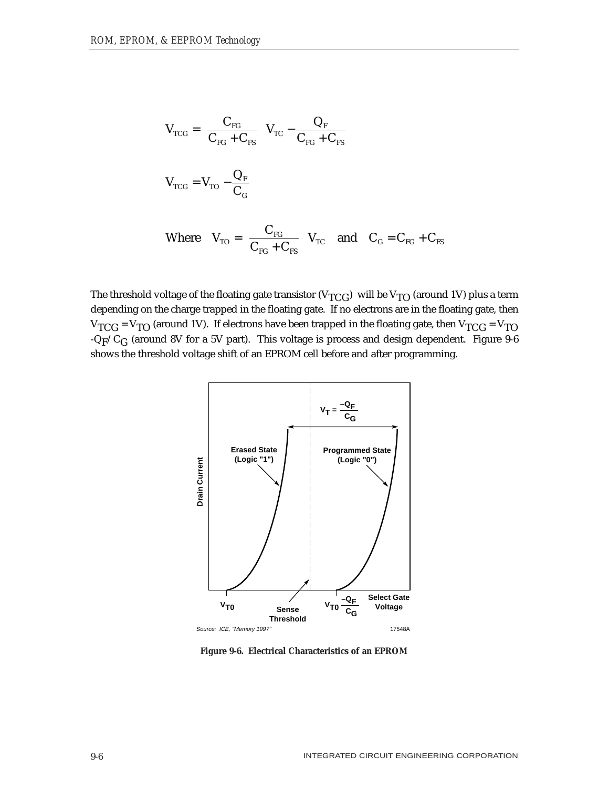$$
V_{TCG} = \left(\frac{C_{FC}}{C_{FG} + C_{FS}}\right) V_{TC} - \frac{Q_F}{C_{FG} + C_{FS}}
$$
  

$$
V_{TCG} = V_{TO} - \frac{Q_F}{C_G}
$$
  
Where 
$$
V_{TO} = \left(\frac{C_{FG}}{C_{FG} + C_{FS}}\right) V_{TC}
$$
 and 
$$
C_G = C_{FG} + C_{FS}
$$

The threshold voltage of the floating gate transistor ( $V_{TCG}$ ) will be  $V_{TO}$  (around 1V) plus a term depending on the charge trapped in the floating gate. If no electrons are in the floating gate, then  $V_{TCG}$  =  $V_{TO}$  (around 1V). If electrons have been trapped in the floating gate, then  $V_{TCG}$  =  $V_{TO}$  $-Q_F/C_G$  (around 8V for a 5V part). This voltage is process and design dependent. Figure 9-6 shows the threshold voltage shift of an EPROM cell before and after programming.



**Figure 9-6. Electrical Characteristics of an EPROM**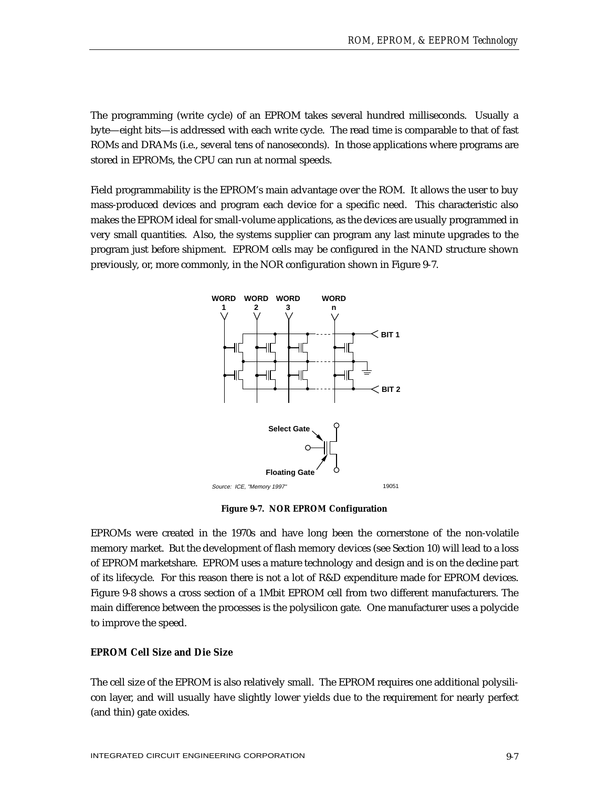The programming (write cycle) of an EPROM takes several hundred milliseconds. Usually a byte—eight bits—is addressed with each write cycle. The read time is comparable to that of fast ROMs and DRAMs (i.e., several tens of nanoseconds). In those applications where programs are stored in EPROMs, the CPU can run at normal speeds.

Field programmability is the EPROM's main advantage over the ROM. It allows the user to buy mass-produced devices and program each device for a specific need. This characteristic also makes the EPROM ideal for small-volume applications, as the devices are usually programmed in very small quantities. Also, the systems supplier can program any last minute upgrades to the program just before shipment. EPROM cells may be configured in the NAND structure shown previously, or, more commonly, in the NOR configuration shown in Figure 9-7.



**Figure 9-7. NOR EPROM Configuration**

EPROMs were created in the 1970s and have long been the cornerstone of the non-volatile memory market. But the development of flash memory devices (see Section 10) will lead to a loss of EPROM marketshare. EPROM uses a mature technology and design and is on the decline part of its lifecycle. For this reason there is not a lot of R&D expenditure made for EPROM devices. Figure 9-8 shows a cross section of a 1Mbit EPROM cell from two different manufacturers. The main difference between the processes is the polysilicon gate. One manufacturer uses a polycide to improve the speed.

## **EPROM Cell Size and Die Size**

The cell size of the EPROM is also relatively small. The EPROM requires one additional polysilicon layer, and will usually have slightly lower yields due to the requirement for nearly perfect (and thin) gate oxides.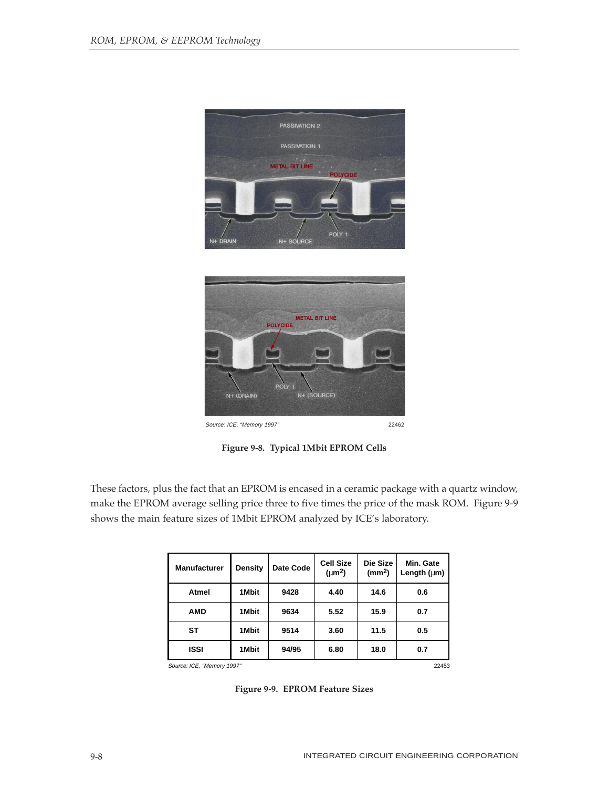

**Figure 9-8. Typical 1Mbit EPROM Cells**

These factors, plus the fact that an EPROM is encased in a ceramic package with a quartz window, make the EPROM average selling price three to five times the price of the mask ROM. Figure 9-9 shows the main feature sizes of 1Mbit EPROM analyzed by ICE's laboratory.

| <b>Manufacturer</b>                 | Density | Date Code | <b>Cell Size</b><br>$(\mu m^2)$ | Die Size<br>(mm <sup>2</sup> ) | Min. Gate<br>Length $(\mu m)$ |
|-------------------------------------|---------|-----------|---------------------------------|--------------------------------|-------------------------------|
| Atmel                               | 1Mbit   | 9428      | 4.40                            | 14.6                           | 0.6                           |
| <b>AMD</b>                          | 1Mbit   | 9634      | 5.52                            | 15.9                           | 0.7                           |
| <b>ST</b>                           | 1Mbit   | 9514      | 3.60                            | 11.5                           | 0.5                           |
| <b>ISSI</b>                         | 1Mbit   | 94/95     | 6.80                            | 18.0                           | 0.7                           |
| 22453<br>Source: ICE. "Memory 1997" |         |           |                                 |                                |                               |

**Figure 9-9. EPROM Feature Sizes**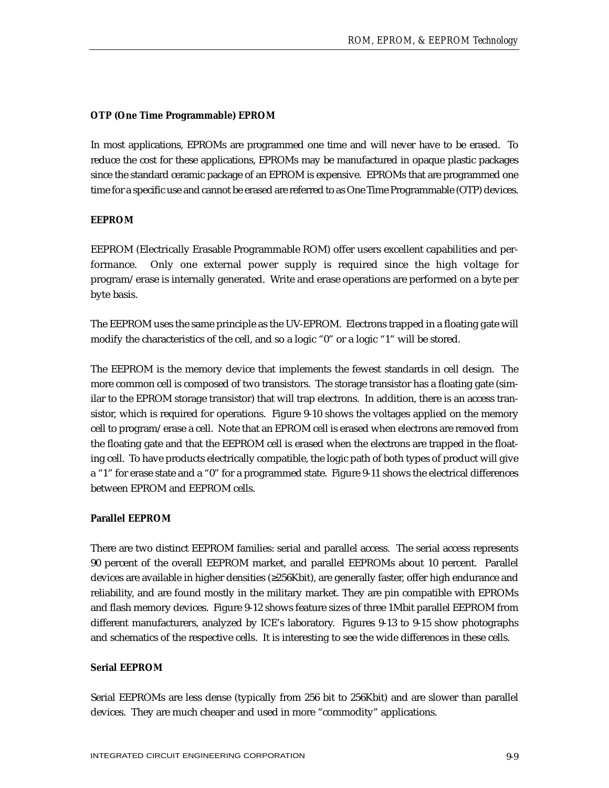# **OTP (One Time Programmable) EPROM**

In most applications, EPROMs are programmed one time and will never have to be erased. To reduce the cost for these applications, EPROMs may be manufactured in opaque plastic packages since the standard ceramic package of an EPROM is expensive. EPROMs that are programmed one time for a specific use and cannot be erased are referred to as One Time Programmable (OTP) devices.

# **EEPROM**

EEPROM (Electrically Erasable Programmable ROM) offer users excellent capabilities and performance. Only one external power supply is required since the high voltage for program/erase is internally generated. Write and erase operations are performed on a byte per byte basis.

The EEPROM uses the same principle as the UV-EPROM. Electrons trapped in a floating gate will modify the characteristics of the cell, and so a logic "0" or a logic "1" will be stored.

The EEPROM is the memory device that implements the fewest standards in cell design. The more common cell is composed of two transistors. The storage transistor has a floating gate (similar to the EPROM storage transistor) that will trap electrons. In addition, there is an access transistor, which is required for operations. Figure 9-10 shows the voltages applied on the memory cell to program/erase a cell. Note that an EPROM cell is erased when electrons are removed from the floating gate and that the EEPROM cell is erased when the electrons are trapped in the floating cell. To have products electrically compatible, the logic path of both types of product will give a "1" for erase state and a "0" for a programmed state. Figure 9-11 shows the electrical differences between EPROM and EEPROM cells.

# **Parallel EEPROM**

There are two distinct EEPROM families: serial and parallel access. The serial access represents 90 percent of the overall EEPROM market, and parallel EEPROMs about 10 percent. Parallel devices are available in higher densities (≥256Kbit), are generally faster, offer high endurance and reliability, and are found mostly in the military market. They are pin compatible with EPROMs and flash memory devices. Figure 9-12 shows feature sizes of three 1Mbit parallel EEPROM from different manufacturers, analyzed by ICE's laboratory. Figures 9-13 to 9-15 show photographs and schematics of the respective cells. It is interesting to see the wide differences in these cells.

# **Serial EEPROM**

Serial EEPROMs are less dense (typically from 256 bit to 256Kbit) and are slower than parallel devices. They are much cheaper and used in more "commodity" applications.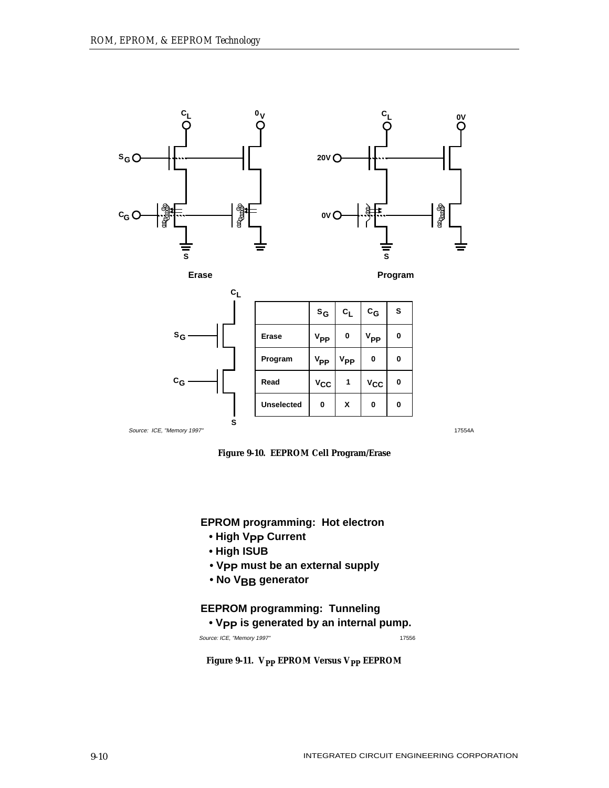





|                            | $c_{L}$ |                   |                 |                 |                  |          |
|----------------------------|---------|-------------------|-----------------|-----------------|------------------|----------|
|                            |         |                   | $s_G$           | $c_L$           | $c_{\mathsf{G}}$ | s        |
| $s_G$                      |         | Erase             | $V_{\text{PP}}$ | $\bf{0}$        | $V_{\text{PP}}$  | $\bf{0}$ |
|                            |         | Program           | $V_{\text{PP}}$ | V <sub>PP</sub> | 0                | 0        |
| $c_{\mathsf{G}}$           |         | Read              | $v_{\rm CC}$    | 1               | $v_{\rm CC}$     | $\bf{0}$ |
|                            |         | <b>Unselected</b> | 0               | X               | 0                | $\bf{0}$ |
| Source: ICE, "Memory 1997" | s       |                   |                 |                 |                  |          |



**EPROM programming: Hot electron**

- **High Vpp Current**
- **High ISUB**
- **Vpp must be an external supply**
- **No VBB generator**

# **EEPROM programming: Tunneling**

 **• VPP is generated by an internal pump.**

Source: ICE, "Memory 1997" 17556

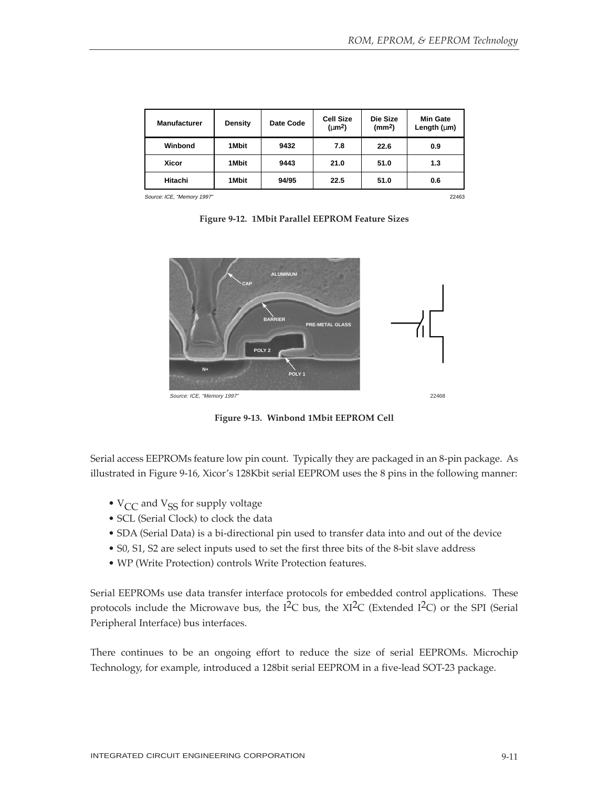| <b>Manufacturer</b>        | Density | Date Code | <b>Cell Size</b><br>$(\mu m^2)$ | Die Size<br>(mm <sup>2</sup> ) | <b>Min Gate</b><br>Length $(\mu m)$ |
|----------------------------|---------|-----------|---------------------------------|--------------------------------|-------------------------------------|
| Winbond                    | 1 Mbit  | 9432      | 7.8                             | 22.6                           | 0.9                                 |
| Xicor                      | 1 Mbit  | 9443      | 21.0                            | 51.0                           | 1.3                                 |
| Hitachi                    | 1 Mbit  | 94/95     | 22.5                            | 51.0                           | 0.6                                 |
| Source: ICE, "Memory 1997" |         |           |                                 |                                | 22463                               |

**Figure 9-12. 1Mbit Parallel EEPROM Feature Sizes**



**Figure 9-13. Winbond 1Mbit EEPROM Cell**

Serial access EEPROMs feature low pin count. Typically they are packaged in an 8-pin package. As illustrated in Figure 9-16, Xicor's 128Kbit serial EEPROM uses the 8 pins in the following manner:

- $V_{CC}$  and  $V_{SS}$  for supply voltage
- SCL (Serial Clock) to clock the data
- SDA (Serial Data) is a bi-directional pin used to transfer data into and out of the device
- S0, S1, S2 are select inputs used to set the first three bits of the 8-bit slave address
- WP (Write Protection) controls Write Protection features.

Serial EEPROMs use data transfer interface protocols for embedded control applications. These protocols include the Microwave bus, the  $I<sup>2</sup>C$  bus, the XI<sup>2</sup>C (Extended I<sup>2</sup>C) or the SPI (Serial Peripheral Interface) bus interfaces.

There continues to be an ongoing effort to reduce the size of serial EEPROMs. Microchip Technology, for example, introduced a 128bit serial EEPROM in a five-lead SOT-23 package.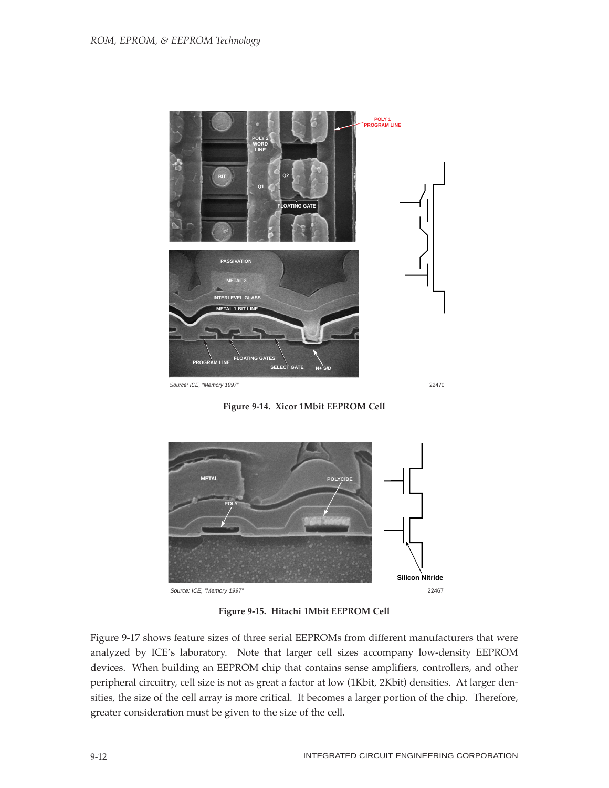

**Figure 9-14. Xicor 1Mbit EEPROM Cell**



**Figure 9-15. Hitachi 1Mbit EEPROM Cell**

Figure 9-17 shows feature sizes of three serial EEPROMs from different manufacturers that were analyzed by ICE's laboratory. Note that larger cell sizes accompany low-density EEPROM devices. When building an EEPROM chip that contains sense amplifiers, controllers, and other peripheral circuitry, cell size is not as great a factor at low (1Kbit, 2Kbit) densities. At larger densities, the size of the cell array is more critical. It becomes a larger portion of the chip. Therefore, greater consideration must be given to the size of the cell.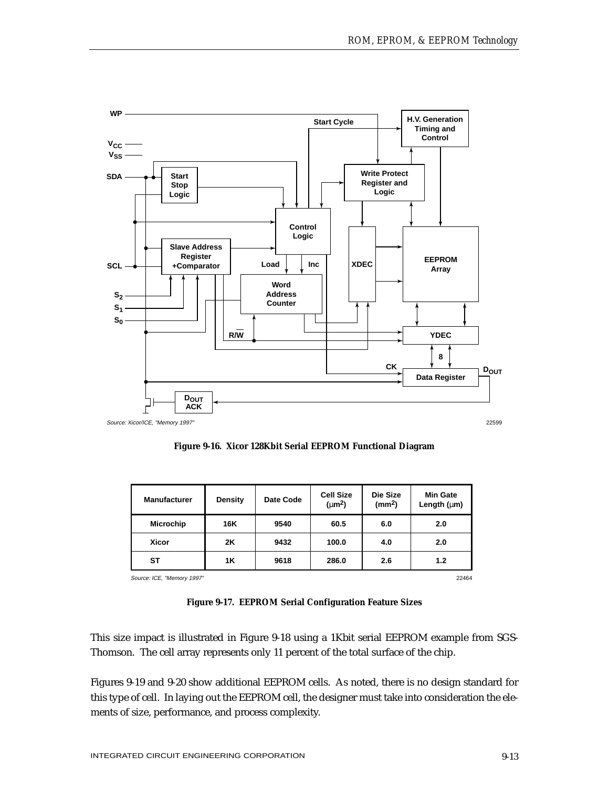

**Figure 9-16. Xicor 128Kbit Serial EEPROM Functional Diagram**

| <b>Manufacturer</b>        | <b>Density</b> | Date Code | <b>Cell Size</b><br>$(\mu m^2)$ | Die Size<br>(mm <sup>2</sup> ) | <b>Min Gate</b><br>Length $(\mu m)$ |
|----------------------------|----------------|-----------|---------------------------------|--------------------------------|-------------------------------------|
| <b>Microchip</b>           | 16K            | 9540      | 60.5                            | 6.0                            | 2.0                                 |
| <b>Xicor</b>               | 2K             | 9432      | 100.0                           | 4.0                            | 2.0                                 |
| ST                         | <b>1K</b>      | 9618      | 286.0                           | 2.6                            | 1.2                                 |
| Source: ICE, "Memory 1997" |                |           |                                 |                                | 22464                               |

| Figure 9-17. EEPROM Serial Configuration Feature Sizes |  |  |
|--------------------------------------------------------|--|--|
|                                                        |  |  |

This size impact is illustrated in Figure 9-18 using a 1Kbit serial EEPROM example from SGS-Thomson. The cell array represents only 11 percent of the total surface of the chip.

Figures 9-19 and 9-20 show additional EEPROM cells. As noted, there is no design standard for this type of cell. In laying out the EEPROM cell, the designer must take into consideration the elements of size, performance, and process complexity.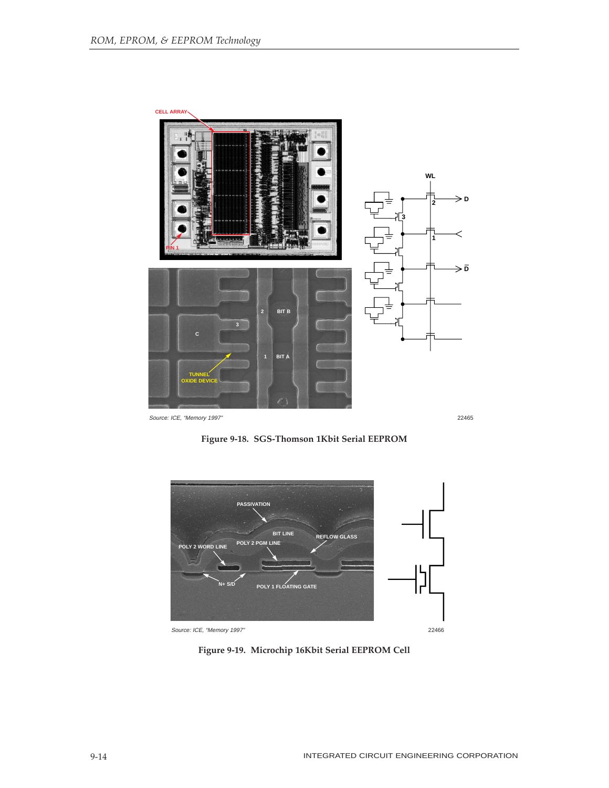

Source: ICE, "Memory 1997" 22465





**Figure 9-19. Microchip 16Kbit Serial EEPROM Cell**